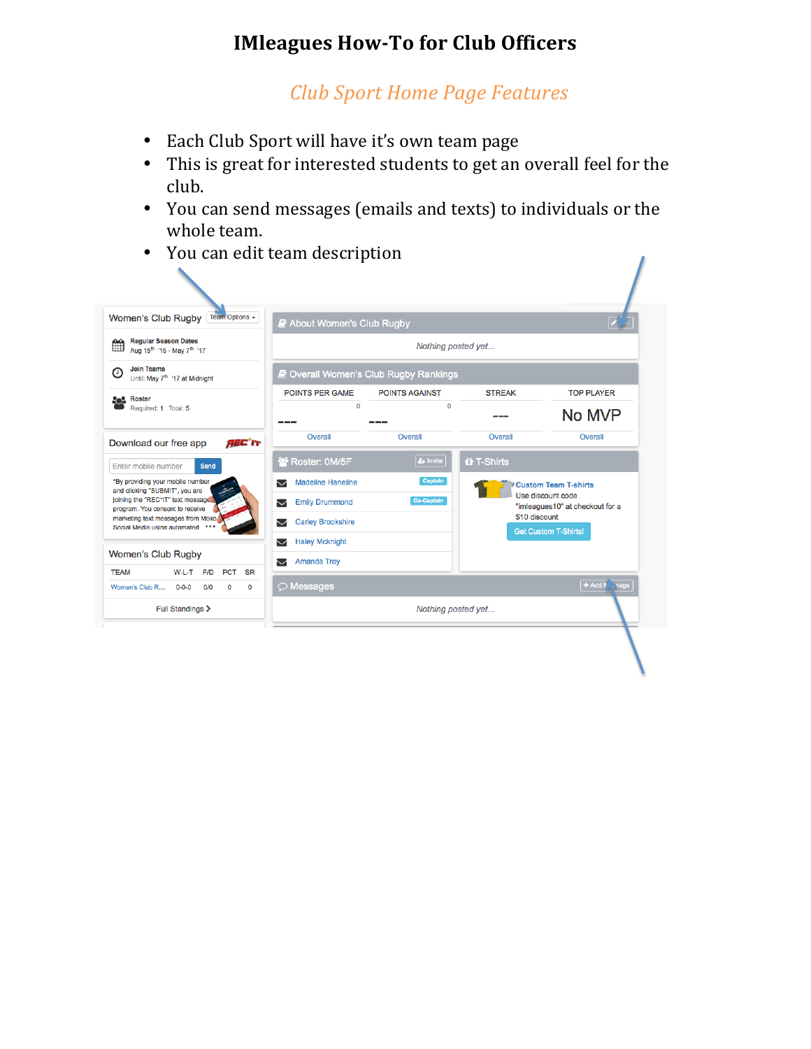# **IMleagues How-To for Club Officers**

## *Club Sport Home Page Features*

- Each Club Sport will have it's own team page
- This is great for interested students to get an overall feel for the club.
- You can send messages (emails and texts) to individuals or the whole team.
- You can edit team description

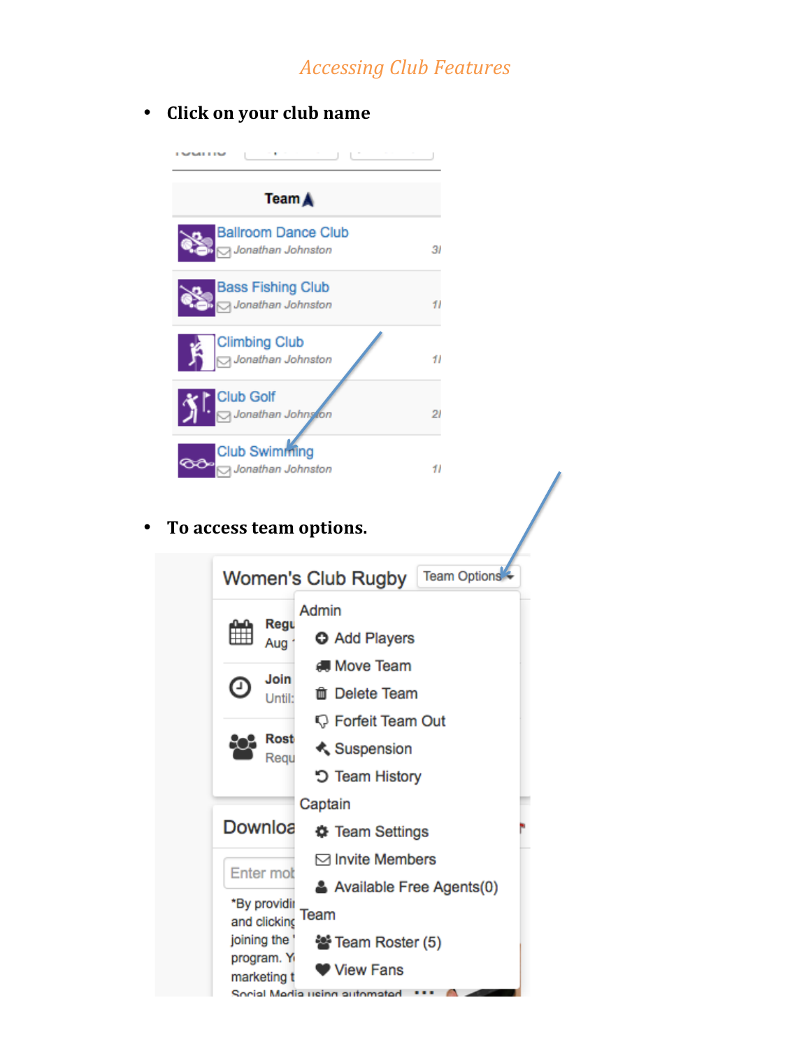# *Accessing Club Features*

#### • **Click on your club name**



#### • To access team options.

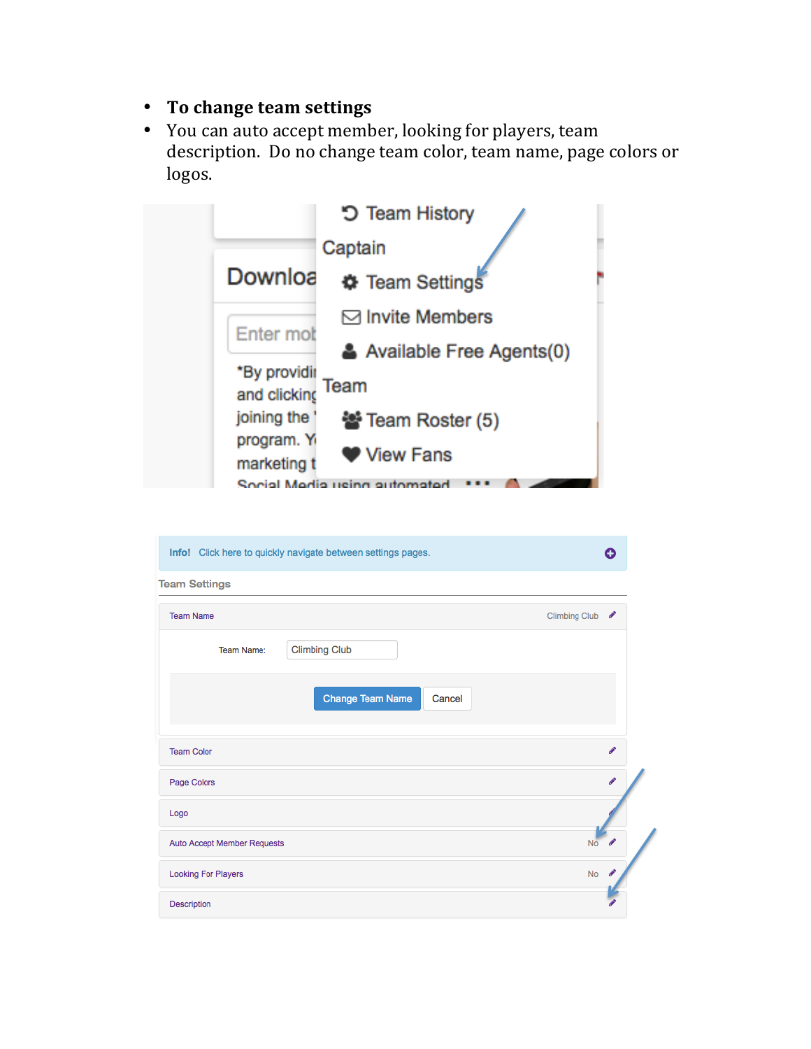- **To change team settings**
- You can auto accept member, looking for players, team description. Do no change team color, team name, page colors or logos.



| Info! Click here to quickly navigate between settings pages. | Ω                                       |
|--------------------------------------------------------------|-----------------------------------------|
| <b>Team Settings</b>                                         |                                         |
| <b>Team Name</b>                                             | Climbing Club &                         |
| <b>Climbing Club</b><br><b>Team Name:</b>                    |                                         |
| <b>Change Team Name</b><br>Cancel                            |                                         |
| <b>Team Color</b>                                            | Í                                       |
| Page Colors                                                  | i                                       |
| Logo                                                         |                                         |
| Auto Accept Member Requests                                  | N <sub>o</sub><br>$\boldsymbol{\theta}$ |
| <b>Looking For Players</b>                                   | <b>No</b>                               |
| <b>Description</b>                                           |                                         |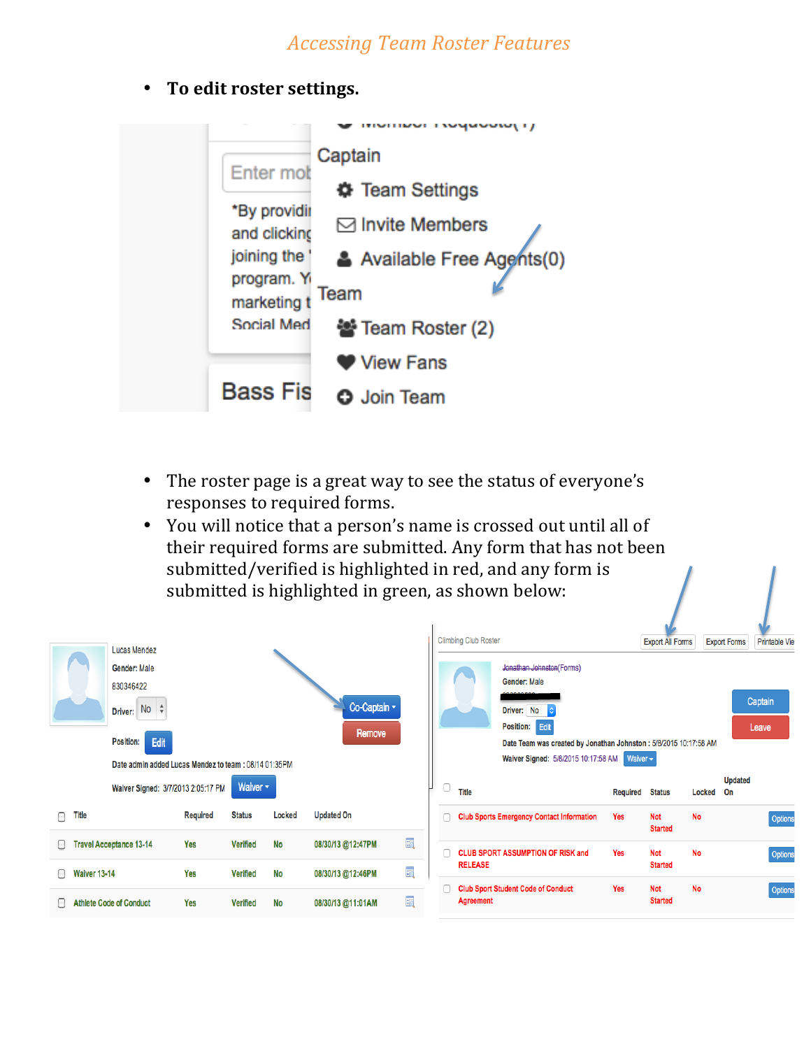### *Accessing Team Roster Features*

• To edit roster settings.



- The roster page is a great way to see the status of everyone's responses to required forms.
- You will notice that a person's name is crossed out until all of their required forms are submitted. Any form that has not been submitted/verified is highlighted in red, and any form is submitted is highlighted in green, as shown below:

Ī.

|                          | <b>Lucas Mendez</b><br>Gender: Male<br>830346422<br>Driver: No $\phi$<br>Edit<br>Position:<br>Date admin added Lucas Mendez to team: 08/14 01:35PM |                 |                 |           | Co-Captain v<br>Remove |   | <b>Climbing Club Roster</b> | Jonathan Johnston(Forms)<br>Gender: Male<br>Driver: No<br><b>Position: Edit</b><br>Date Team was created by Jonathan Johnston : 5/8/2015 10:17:58 AM<br>Waiver Signed: 5/8/2015 10:17:58 AM | Waiver $\star$  | <b>Export All Forms</b>      |           | <b>Printable Viet</b><br><b>Export Forms</b><br>Captain<br>Leave |
|--------------------------|----------------------------------------------------------------------------------------------------------------------------------------------------|-----------------|-----------------|-----------|------------------------|---|-----------------------------|---------------------------------------------------------------------------------------------------------------------------------------------------------------------------------------------|-----------------|------------------------------|-----------|------------------------------------------------------------------|
|                          | Waiver Signed: 3/7/2013 2:05:17 PM                                                                                                                 |                 | Waiver <b>v</b> |           |                        |   | 0<br>Title                  |                                                                                                                                                                                             | <b>Required</b> | <b>Status</b>                | Locked    | <b>Updated</b><br>On                                             |
| <b>Title</b><br>∩        |                                                                                                                                                    | <b>Required</b> | <b>Status</b>   | Locked    | <b>Updated On</b>      |   | n                           | <b>Club Sports Emergency Contact Information</b>                                                                                                                                            | Yes             | <b>Not</b><br><b>Started</b> | <b>No</b> | Options                                                          |
| 8.                       | <b>Travel Acceptance 13-14</b>                                                                                                                     | Yes             | <b>Verified</b> | <b>No</b> | 08/30/13 @12:47PM      | 晒 |                             | <b>CLUB SPORT ASSUMPTION OF RISK and</b>                                                                                                                                                    | Yes             | <b>Not</b>                   | <b>No</b> | Options                                                          |
| ∩<br><b>Waiver 13-14</b> |                                                                                                                                                    | Yes             | <b>Verified</b> | <b>No</b> | 08/30/13 @12:46PM      | 晒 | <b>RELEASE</b>              |                                                                                                                                                                                             |                 | <b>Started</b>               |           |                                                                  |
| $\Box$                   | <b>Athlete Code of Conduct</b>                                                                                                                     | Yes             | <b>Verified</b> | <b>No</b> | 08/30/13 @11:01AM      | 詞 | <b>Agreement</b>            | <b>Club Sport Student Code of Conduct</b>                                                                                                                                                   | Yes             | <b>Not</b><br><b>Started</b> | <b>No</b> | Options                                                          |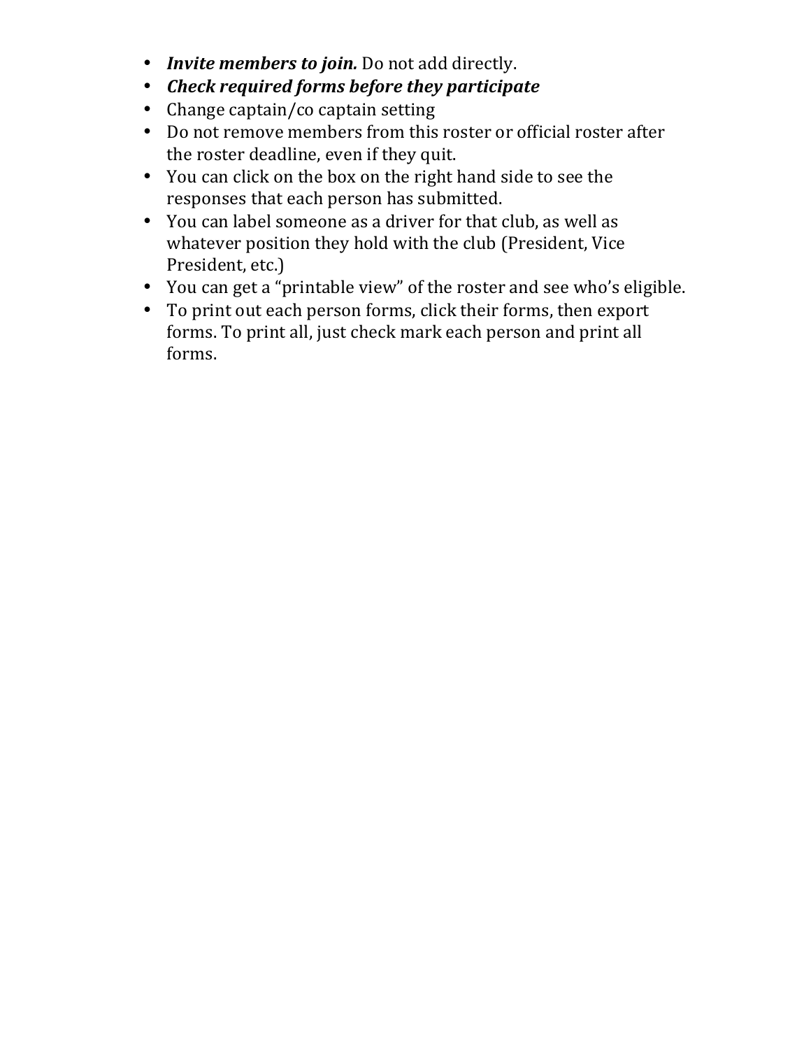- *Invite members to join.* Do not add directly.
- *Check required forms before they participate*
- Change captain/co captain setting
- Do not remove members from this roster or official roster after the roster deadline, even if they quit.
- You can click on the box on the right hand side to see the responses that each person has submitted.
- You can label someone as a driver for that club, as well as whatever position they hold with the club (President, Vice President, etc.)
- You can get a "printable view" of the roster and see who's eligible.
- To print out each person forms, click their forms, then export forms. To print all, just check mark each person and print all forms.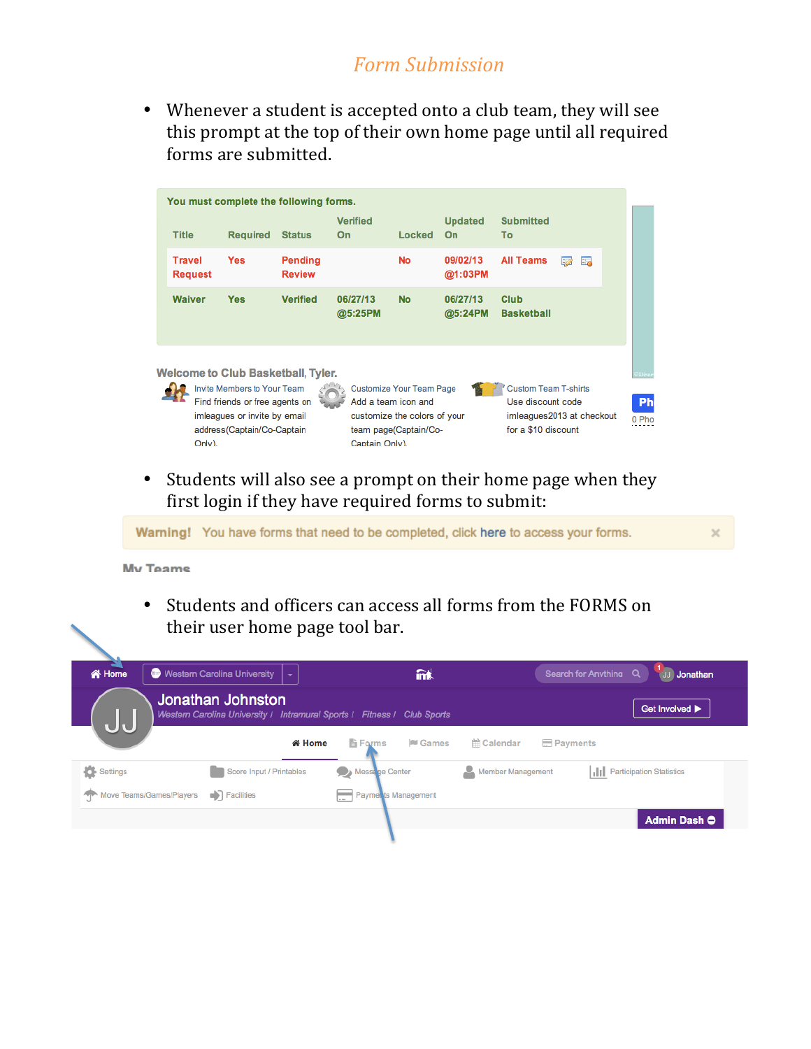## *Form Submission*

• Whenever a student is accepted onto a club team, they will see this prompt at the top of their own home page until all required forms are submitted.

|                                                                                                                                                                                                                                                                                                                                                                                    | You must complete the following forms.    |                          |                       |               |                      |                           |          |  |
|------------------------------------------------------------------------------------------------------------------------------------------------------------------------------------------------------------------------------------------------------------------------------------------------------------------------------------------------------------------------------------|-------------------------------------------|--------------------------|-----------------------|---------------|----------------------|---------------------------|----------|--|
| <b>Title</b>                                                                                                                                                                                                                                                                                                                                                                       | <b>Required</b>                           | <b>Status</b>            | <b>Verified</b><br>On | <b>Locked</b> | <b>Updated</b><br>On | <b>Submitted</b><br>Тο    |          |  |
| <b>Travel</b><br><b>Request</b>                                                                                                                                                                                                                                                                                                                                                    | <b>Yes</b>                                | Pending<br><b>Review</b> |                       | <b>No</b>     | 09/02/13<br>@1:03PM  | <b>All Teams</b>          | E.<br>50 |  |
| <b>Waiver</b>                                                                                                                                                                                                                                                                                                                                                                      | <b>Yes</b>                                | <b>Verified</b>          | 06/27/13<br>@5:25PM   | <b>No</b>     | 06/27/13<br>@5:24PM  | Club<br><b>Basketball</b> |          |  |
|                                                                                                                                                                                                                                                                                                                                                                                    | <b>Welcome to Club Basketball, Tyler.</b> |                          |                       |               |                      |                           |          |  |
| Invite Members to Your Team<br><b>Custom Team T-shirts</b><br><b>Customize Your Team Page</b><br>Find friends or free agents on<br>Add a team icon and<br>Use discount code<br>imleagues or invite by email<br>imleagues2013 at checkout<br>customize the colors of your<br>for a \$10 discount<br>address(Captain/Co-Captain<br>team page(Captain/Co-<br>Captain Only).<br>Only). |                                           |                          |                       |               |                      |                           | 0 Pho    |  |

• Students will also see a prompt on their home page when they first login if they have required forms to submit:

Warning! You have forms that need to be completed, click here to access your forms.

**My Teams** 

• Students and officers can access all forms from the FORMS on their user home page tool bar.

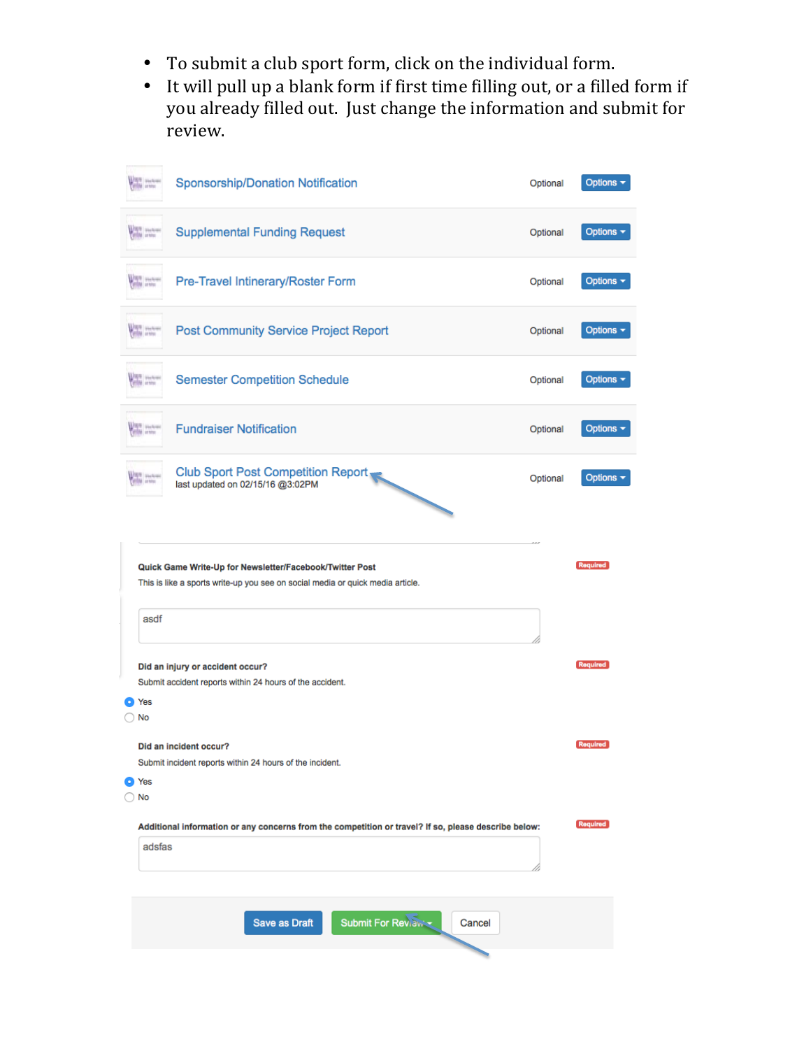- To submit a club sport form, click on the individual form.
- It will pull up a blank form if first time filling out, or a filled form if you already filled out. Just change the information and submit for review.

|    | <b><i><u>ANTE</u></i></b> <i>Starbook</i> | Sponsorship/Donation Notification                                                                                                          | Optional | Options -                     |
|----|-------------------------------------------|--------------------------------------------------------------------------------------------------------------------------------------------|----------|-------------------------------|
|    | <b>ANTI UNIVERS</b>                       | <b>Supplemental Funding Request</b>                                                                                                        | Optional | Options $\blacktriangleright$ |
|    | <b>VAN WARM</b>                           | Pre-Travel Intinerary/Roster Form                                                                                                          | Optional | Options $\sim$                |
|    | <b>VAN SURVEY</b>                         | <b>Post Community Service Project Report</b>                                                                                               | Optional | Options $\sim$                |
|    | <b><i><u>ANTIS Starting</u></i></b>       | <b>Semester Competition Schedule</b>                                                                                                       | Optional | Options $\sim$                |
|    | <b>ANTIS SOLUTION</b>                     | <b>Fundraiser Notification</b>                                                                                                             | Optional | Options $\sim$                |
|    | <b>MPI</b> Stations<br><b>HIM artist</b>  | Club Sport Post Competition Report                                                                                                         | Optional | Options -                     |
|    |                                           | Quick Game Write-Up for Newsletter/Facebook/Twitter Post<br>This is like a sports write-up you see on social media or quick media article. |          | <b>Required</b>               |
|    | asdf<br>Yes<br>No                         | Did an injury or accident occur?<br>Submit accident reports within 24 hours of the accident.                                               |          | <b>Required</b>               |
|    | Yes                                       | Did an incident occur?<br>Submit incident reports within 24 hours of the incident.                                                         |          | <b>Required</b>               |
| D) | No                                        |                                                                                                                                            |          |                               |
|    | adsfas                                    | Additional information or any concerns from the competition or travel? If so, please describe below:                                       |          | <b>Required</b>               |
|    |                                           | <b>Save as Draft</b><br><b>Submit For Review -</b><br>Cancel                                                                               |          |                               |